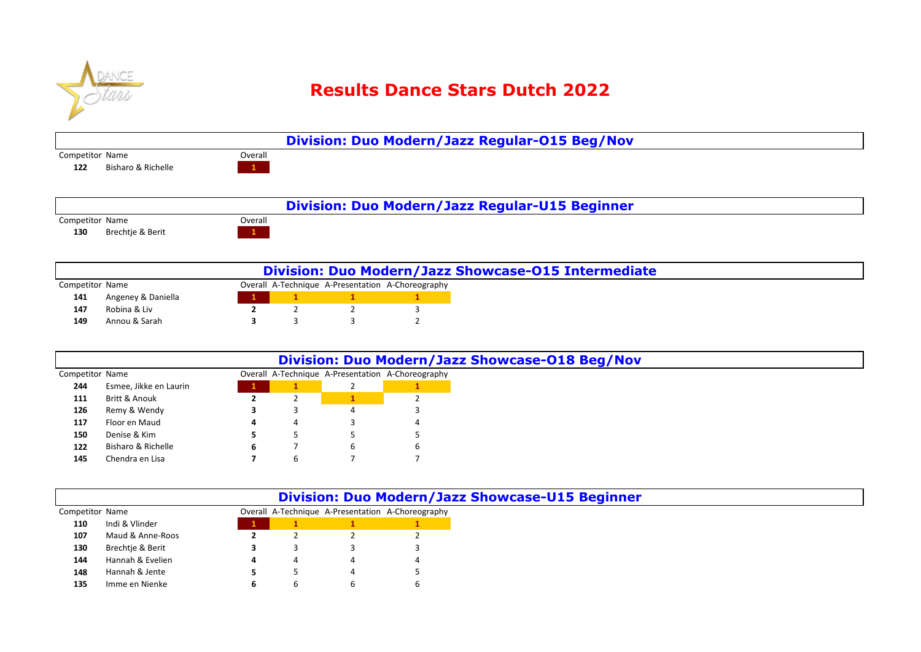

## **Results Dance Stars Dutch 2022**

|                           |         | Division: Duo Modern/Jazz Regular-015 Beg/Nov  |  |
|---------------------------|---------|------------------------------------------------|--|
| Competitor Name           | Overall |                                                |  |
| Bisharo & Richelle<br>122 |         |                                                |  |
|                           |         |                                                |  |
|                           |         |                                                |  |
|                           |         | Division: Duo Modern/Jazz Regular-U15 Beginner |  |
| Competitor Name           | Overall |                                                |  |

Brechtje & Berit **1 1 1** 

Competitor Name **Competition** Name **Overall A-Technique A-Presentation** A-Choreography Angeney & Daniella **1 1 1 1** Robina & Liv **2**  Annou & Sarah **3** 3 3 2 **Division: Duo Modern/Jazz Showcase-O15 Intermediate**

|                 |                        |   |   | Division: Duo Modern/Jazz Showcase-018 Beg/Nov    |
|-----------------|------------------------|---|---|---------------------------------------------------|
| Competitor Name |                        |   |   | Overall A-Technique A-Presentation A-Choreography |
| 244             | Esmee, Jikke en Laurin |   |   |                                                   |
| 111             | Britt & Anouk          |   |   |                                                   |
| 126             | Remy & Wendy           |   |   |                                                   |
| 117             | Floor en Maud          | 4 | 4 |                                                   |
| 150             | Denise & Kim           |   |   |                                                   |
| 122             | Bisharo & Richelle     | 6 |   | b                                                 |
| 145             | Chendra en Lisa        |   |   |                                                   |

|                 |                  |   |   |   | <b>Division: Duo Modern/Jazz Showcase-U15 Beginner</b> |
|-----------------|------------------|---|---|---|--------------------------------------------------------|
| Competitor Name |                  |   |   |   | Overall A-Technique A-Presentation A-Choreography      |
| 110             | Indi & Vlinder   |   |   |   |                                                        |
| 107             | Maud & Anne-Roos |   |   |   |                                                        |
| 130             | Brechtie & Berit |   |   |   |                                                        |
| 144             | Hannah & Evelien | 4 | 4 |   | 4                                                      |
| 148             | Hannah & Jente   |   |   | Δ |                                                        |
| 135             | Imme en Nienke   |   | b |   | 6                                                      |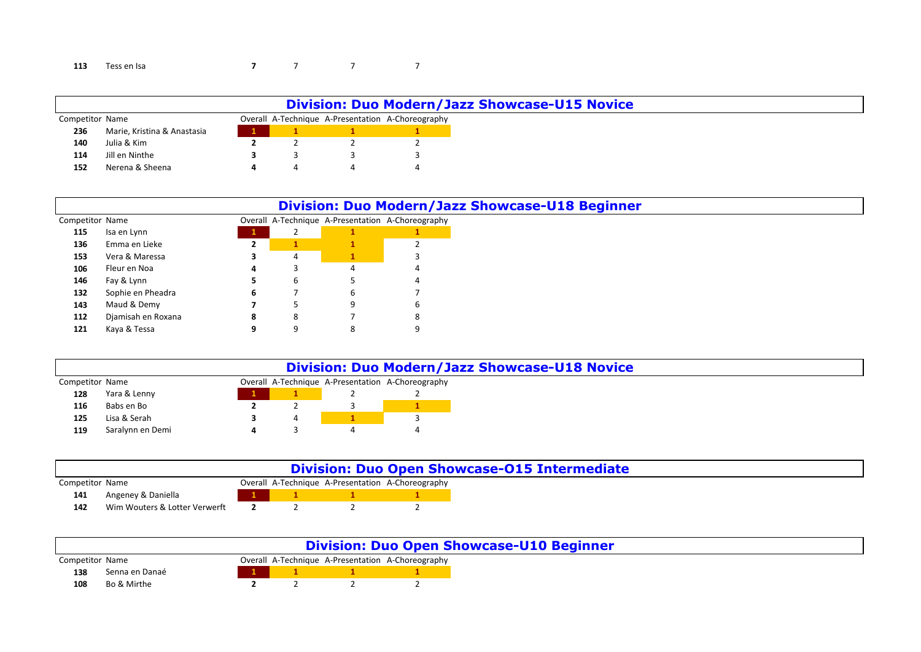## Tess en Isa **7** 7 7 7 7 7 7

|                 |                             |  |  | <b>Division: Duo Modern/Jazz Showcase-U15 Novice</b> |
|-----------------|-----------------------------|--|--|------------------------------------------------------|
| Competitor Name |                             |  |  | Overall A-Technique A-Presentation A-Choreography    |
| 236             | Marie, Kristina & Anastasia |  |  |                                                      |
| 140             | Julia & Kim                 |  |  |                                                      |
| 114             | Jill en Ninthe              |  |  |                                                      |
| 152             | Nerena & Sheena             |  |  |                                                      |

|                 |                    |              |   |   | <b>Division: Duo Modern/Jazz Showcase-U18 Beginner</b> |
|-----------------|--------------------|--------------|---|---|--------------------------------------------------------|
| Competitor Name |                    |              |   |   | Overall A-Technique A-Presentation A-Choreography      |
| 115             | Isa en Lynn        | $\mathbf{1}$ |   |   |                                                        |
| 136             | Emma en Lieke      | ▴            |   |   |                                                        |
| 153             | Vera & Maressa     | 5            | 4 |   |                                                        |
| 106             | Fleur en Noa       | 4            |   | 4 | 4                                                      |
| 146             | Fay & Lynn         |              | ь |   | 4                                                      |
| 132             | Sophie en Pheadra  | 6            |   | 6 |                                                        |
| 143             | Maud & Demy        |              |   | 9 | ь                                                      |
| 112             | Djamisah en Roxana | 8            | 8 |   | 8                                                      |
| 121             | Kaya & Tessa       |              | 9 | 8 | 9                                                      |

|                 |                  |  | <b>Division: Duo Modern/Jazz Showcase-U18 Novice</b> |
|-----------------|------------------|--|------------------------------------------------------|
| Competitor Name |                  |  | Overall A-Technique A-Presentation A-Choreography    |
| 128             | Yara & Lenny     |  |                                                      |
| 116             | Babs en Bo       |  |                                                      |
| 125             | Lisa & Serah     |  |                                                      |
| 119             | Saralynn en Demi |  |                                                      |

|                 |                               |  | <b>Division: Duo Open Showcase-015 Intermediate</b> |
|-----------------|-------------------------------|--|-----------------------------------------------------|
| Competitor Name |                               |  | Overall A-Technique A-Presentation A-Choreography   |
| 141             | Angeney & Daniella            |  |                                                     |
| 142             | Wim Wouters & Lotter Verwerft |  |                                                     |

|                 |                |  | <b>Division: Duo Open Showcase-U10 Beginner</b>   |
|-----------------|----------------|--|---------------------------------------------------|
| Competitor Name |                |  | Overall A-Technique A-Presentation A-Choreography |
| 138             | Senna en Danaé |  |                                                   |
| 108             | Bo & Mirthe    |  |                                                   |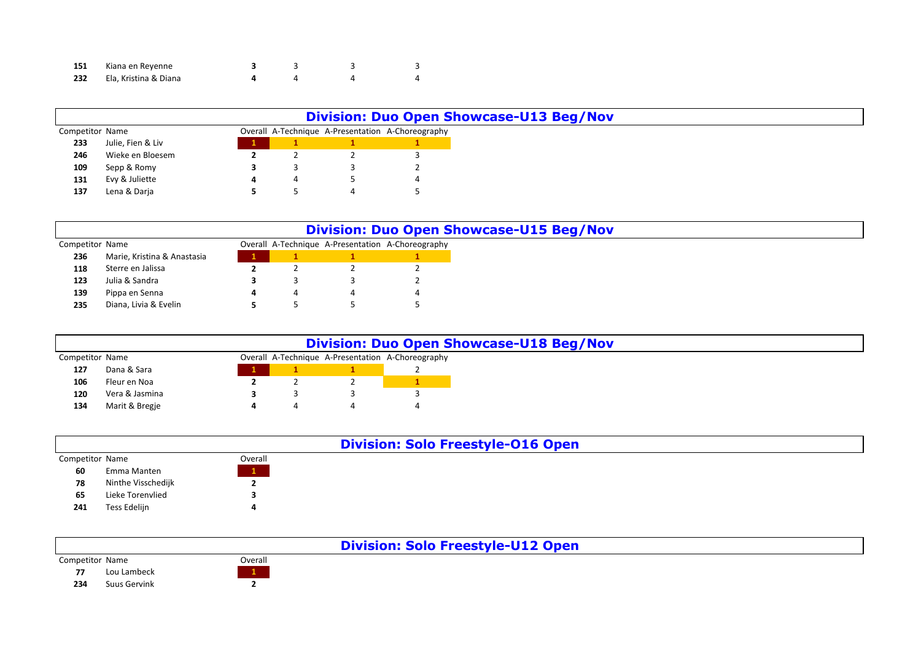| 151 | Kiana en Reyenne      |  |  |
|-----|-----------------------|--|--|
| 232 | Ela, Kristina & Diana |  |  |

|                 |                   |   |   | <b>Division: Duo Open Showcase-U13 Beg/Nov</b>    |
|-----------------|-------------------|---|---|---------------------------------------------------|
| Competitor Name |                   |   |   | Overall A-Technique A-Presentation A-Choreography |
| 233             | Julie, Fien & Liv |   |   |                                                   |
| 246             | Wieke en Bloesem  |   |   |                                                   |
| 109             | Sepp & Romy       |   |   |                                                   |
| 131             | Evy & Juliette    | 4 | ∸ |                                                   |
| 137             | Lena & Darja      |   |   |                                                   |

|                 |                             |   | <b>Division: Duo Open Showcase-U15 Beg/Nov</b>    |
|-----------------|-----------------------------|---|---------------------------------------------------|
| Competitor Name |                             |   | Overall A-Technique A-Presentation A-Choreography |
| 236             | Marie, Kristina & Anastasia |   |                                                   |
| 118             | Sterre en Jalissa           |   |                                                   |
| 123             | Julia & Sandra              |   |                                                   |
| 139             | Pippa en Senna              | 4 |                                                   |
| 235             | Diana, Livia & Evelin       |   |                                                   |

|                 |                |          | <b>Division: Duo Open Showcase-U18 Beg/Nov</b>    |
|-----------------|----------------|----------|---------------------------------------------------|
| Competitor Name |                |          | Overall A-Technique A-Presentation A-Choreography |
| 127             | Dana & Sara    |          |                                                   |
| 106             | Fleur en Noa   | <u>.</u> |                                                   |
| 120             | Vera & Jasmina |          |                                                   |
| 134             | Marit & Bregje |          |                                                   |

|                 |                    |         | <b>Division: Solo Freestyle-016 Open</b> |
|-----------------|--------------------|---------|------------------------------------------|
| Competitor Name |                    | Overall |                                          |
| 60              | Emma Manten        |         |                                          |
| 78              | Ninthe Visschedijk |         |                                          |
| 65              | Lieke Torenvlied   |         |                                          |
| 241             | Tess Edelijn       |         |                                          |

|                 |              |         | <b>Division: Solo Freestyle-U12 Open</b> |
|-----------------|--------------|---------|------------------------------------------|
| Competitor Name |              | Overall |                                          |
| 77              | Lou Lambeck  |         |                                          |
| 234             | Suus Gervink |         |                                          |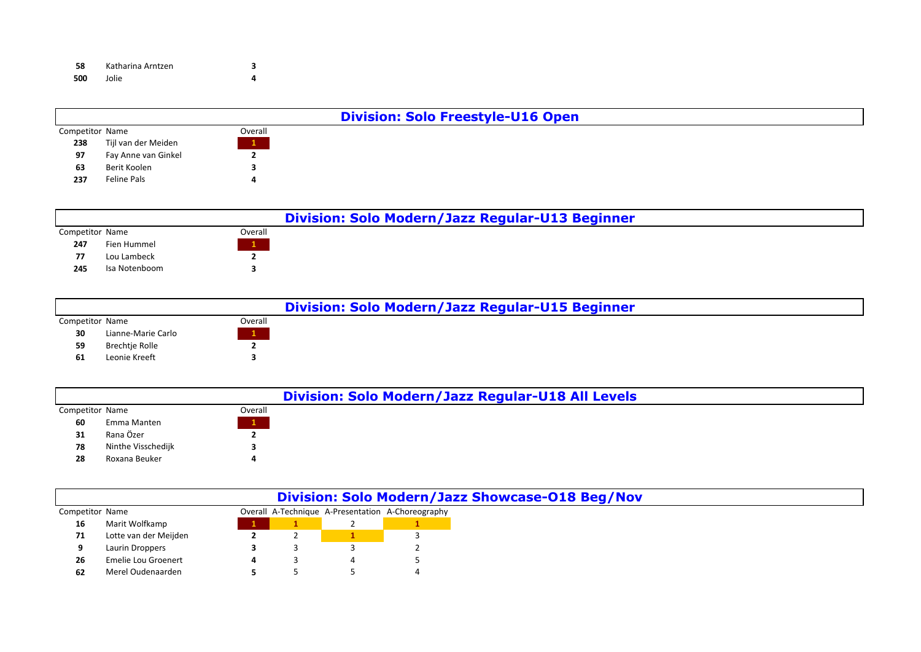| 58  | Katharina Arntzen |  |
|-----|-------------------|--|
| 500 | Jolie             |  |

|                 |                     |                 | <b>Division: Solo Freestyle-U16 Open</b> |
|-----------------|---------------------|-----------------|------------------------------------------|
| Competitor Name |                     | Overall         |                                          |
| 238             | Tijl van der Meiden | $\vert 1 \vert$ |                                          |
| 97              | Fay Anne van Ginkel |                 |                                          |
| 63              | Berit Koolen        |                 |                                          |
| 237             | Feline Pals         |                 |                                          |

|                 |               |         | Division: Solo Modern/Jazz Regular-U13 Beginner |
|-----------------|---------------|---------|-------------------------------------------------|
| Competitor Name |               | Overall |                                                 |
| 247             | Fien Hummel   |         |                                                 |
| 77              | Lou Lambeck   |         |                                                 |
| 245             | Isa Notenboom |         |                                                 |

|                 |                       |                   | Division: Solo Modern/Jazz Regular-U15 Beginner |
|-----------------|-----------------------|-------------------|-------------------------------------------------|
| Competitor Name |                       | Overall           |                                                 |
| 30              | Lianne-Marie Carlo    | $\vert 1 \rangle$ |                                                 |
| 59              | <b>Brechtie Rolle</b> |                   |                                                 |
| 61              | Leonie Kreeft         |                   |                                                 |

|                 |                    |         | Division: Solo Modern/Jazz Regular-U18 All Levels |
|-----------------|--------------------|---------|---------------------------------------------------|
| Competitor Name |                    | Overall |                                                   |
| 60              | Emma Manten        |         |                                                   |
| 31              | Rana Özer          |         |                                                   |
| 78              | Ninthe Visschedijk |         |                                                   |
| 28              | Roxana Beuker      |         |                                                   |
|                 |                    |         |                                                   |

|                 |                       |  | Division: Solo Modern/Jazz Showcase-018 Beg/Nov   |
|-----------------|-----------------------|--|---------------------------------------------------|
| Competitor Name |                       |  | Overall A-Technique A-Presentation A-Choreography |
| 16              | Marit Wolfkamp        |  |                                                   |
| 71              | Lotte van der Meijden |  |                                                   |
|                 | Laurin Droppers       |  |                                                   |
| 26              | Emelie Lou Groenert   |  |                                                   |
| 62              | Merel Oudenaarden     |  |                                                   |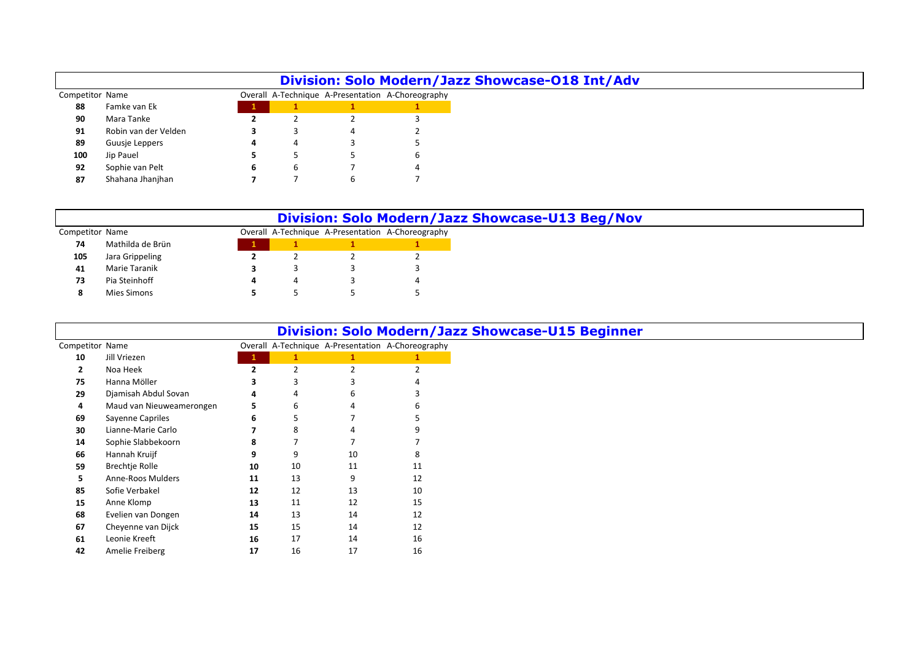|                 |                      |   |   | Division: Solo Modern/Jazz Showcase-018 Int/Adv   |   |
|-----------------|----------------------|---|---|---------------------------------------------------|---|
| Competitor Name |                      |   |   | Overall A-Technique A-Presentation A-Choreography |   |
| 88              | Famke van Ek         |   |   |                                                   |   |
| 90              | Mara Tanke           |   |   |                                                   |   |
| 91              | Robin van der Velden |   |   | 4                                                 |   |
| 89              | Guusje Leppers       | 4 |   |                                                   |   |
| 100             | Jip Pauel            |   |   |                                                   | b |
| 92              | Sophie van Pelt      | 6 | h |                                                   |   |
| 87              | Shahana Jhanjhan     |   |   |                                                   |   |

|                 |                  |  | Division: Solo Modern/Jazz Showcase-U13 Beg/Nov   |
|-----------------|------------------|--|---------------------------------------------------|
| Competitor Name |                  |  | Overall A-Technique A-Presentation A-Choreography |
| 74              | Mathilda de Brün |  |                                                   |
| 105             | Jara Grippeling  |  |                                                   |
| 41              | Marie Taranik    |  |                                                   |
| 73              | Pia Steinhoff    |  |                                                   |
|                 | Mies Simons      |  |                                                   |

 $\overline{\phantom{a}}$ 

|                 |                          |    |    |    | <b>Division: Solo Modern/Jazz Showcase-U15 Beginner</b> |
|-----------------|--------------------------|----|----|----|---------------------------------------------------------|
| Competitor Name |                          |    |    |    | Overall A-Technique A-Presentation A-Choreography       |
| 10              | Jill Vriezen             |    |    |    |                                                         |
| $\mathbf{z}$    | Noa Heek                 |    |    |    |                                                         |
| 75              | Hanna Möller             |    |    |    |                                                         |
| 29              | Djamisah Abdul Sovan     | 4  |    | 6  |                                                         |
| 4               | Maud van Nieuweamerongen | 5. | 6  |    |                                                         |
| 69              | Sayenne Capriles         | 6  |    |    |                                                         |
| 30              | Lianne-Marie Carlo       |    | 8  |    |                                                         |
| 14              | Sophie Slabbekoorn       | 8  |    |    |                                                         |
| 66              | Hannah Kruijf            | 9  | 9  | 10 | x                                                       |
| 59              | Brechtje Rolle           | 10 | 10 | 11 | 11                                                      |
| 5               | Anne-Roos Mulders        | 11 | 13 | 9  | 12                                                      |
| 85              | Sofie Verbakel           | 12 | 12 | 13 | 10                                                      |
| 15              | Anne Klomp               | 13 | 11 | 12 | 15                                                      |
| 68              | Evelien van Dongen       | 14 | 13 | 14 | 12                                                      |
| 67              | Cheyenne van Dijck       | 15 | 15 | 14 | 12                                                      |
| 61              | Leonie Kreeft            | 16 | 17 | 14 | 16                                                      |
| 42              | Amelie Freiberg          | 17 | 16 | 17 | 16                                                      |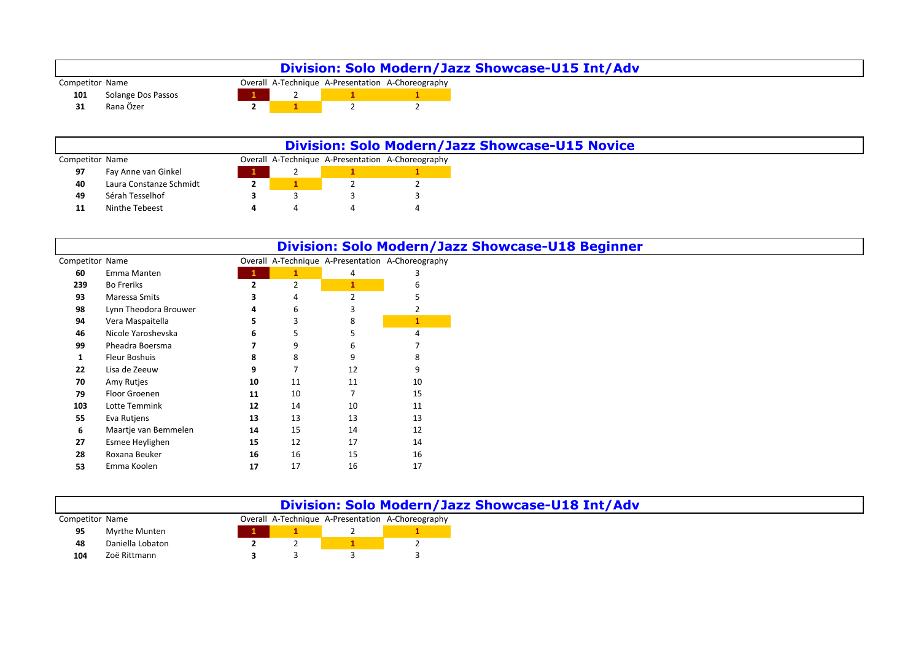|                 |                    |  | Division: Solo Modern/Jazz Showcase-U15 Int/Adv   |
|-----------------|--------------------|--|---------------------------------------------------|
| Competitor Name |                    |  | Overall A-Technique A-Presentation A-Choreography |
| 101             | Solange Dos Passos |  |                                                   |
| 31              | Rana Özer          |  |                                                   |

|                 |                         | <b>Division: Solo Modern/Jazz Showcase-U15 Novice</b> |  |                                                   |  |  |  |  |
|-----------------|-------------------------|-------------------------------------------------------|--|---------------------------------------------------|--|--|--|--|
| Competitor Name |                         |                                                       |  | Overall A-Technique A-Presentation A-Choreography |  |  |  |  |
| 97              | Fay Anne van Ginkel     |                                                       |  |                                                   |  |  |  |  |
| 40              | Laura Constanze Schmidt |                                                       |  |                                                   |  |  |  |  |
| 49              | Sérah Tesselhof         |                                                       |  |                                                   |  |  |  |  |
| 11              | Ninthe Tebeest          |                                                       |  |                                                   |  |  |  |  |

|                 |                       |                |                |               | Division: Solo Modern/Jazz Showcase-U18 Beginner  |
|-----------------|-----------------------|----------------|----------------|---------------|---------------------------------------------------|
| Competitor Name |                       |                |                |               | Overall A-Technique A-Presentation A-Choreography |
| 60              | Emma Manten           |                | $\mathbf{1}$   | 4             |                                                   |
| 239             | <b>Bo Freriks</b>     | $\overline{2}$ | $\overline{2}$ |               |                                                   |
| 93              | Maressa Smits         |                | 4              | $\mathcal{P}$ |                                                   |
| 98              | Lynn Theodora Brouwer | 4              | 6              |               |                                                   |
| 94              | Vera Maspaitella      |                | 3              | 8             |                                                   |
| 46              | Nicole Yaroshevska    | 6              | 5              |               | 4                                                 |
| 99              | Pheadra Boersma       |                | 9              | 6             |                                                   |
| 1               | Fleur Boshuis         | 8              | 8              | q             |                                                   |
| 22              | Lisa de Zeeuw         | 9              |                | 12            |                                                   |
| 70              | Amy Rutjes            | 10             | 11             | 11            | 10                                                |
| 79              | Floor Groenen         | 11             | 10             |               | 15                                                |
| 103             | Lotte Temmink         | 12             | 14             | 10            | 11                                                |
| 55              | Eva Rutjens           | 13             | 13             | 13            | 13                                                |
| 6               | Maartje van Bemmelen  | 14             | 15             | 14            | 12                                                |
| 27              | Esmee Heylighen       | 15             | 12             | 17            | 14                                                |
| 28              | Roxana Beuker         | 16             | 16             | 15            | 16                                                |
| 53              | Emma Koolen           | 17             | 17             | 16            | 17                                                |

| Division: Solo Modern/Jazz Showcase-U18 Int/Adv                      |                  |  |  |  |  |  |
|----------------------------------------------------------------------|------------------|--|--|--|--|--|
| Overall A-Technique A-Presentation A-Choreography<br>Competitor Name |                  |  |  |  |  |  |
| 95                                                                   | Myrthe Munten    |  |  |  |  |  |
| 48                                                                   | Daniella Lobaton |  |  |  |  |  |
| 104                                                                  | Zoë Rittmann     |  |  |  |  |  |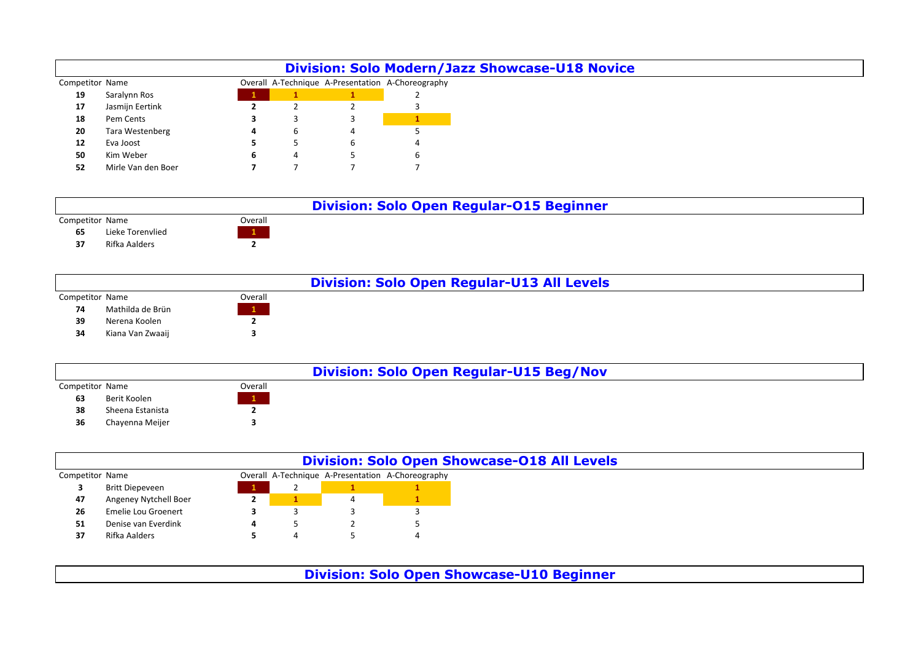|                 |                    |   |                |   | <b>Division: Solo Modern/Jazz Showcase-U18 Novice</b> |
|-----------------|--------------------|---|----------------|---|-------------------------------------------------------|
| Competitor Name |                    |   |                |   | Overall A-Technique A-Presentation A-Choreography     |
| 19              | Saralynn Ros       |   |                |   |                                                       |
| 17              | Jasmijn Eertink    |   |                |   |                                                       |
| 18              | Pem Cents          |   |                |   |                                                       |
| 20              | Tara Westenberg    | 4 | ь              |   |                                                       |
| 12              | Eva Joost          |   |                | b |                                                       |
| 50              | Kim Weber          | ь | $\overline{a}$ |   |                                                       |
| 52              | Mirle Van den Boer |   |                |   |                                                       |

|                 |                  |         | <b>Division: Solo Open Regular-015 Beginner</b> |
|-----------------|------------------|---------|-------------------------------------------------|
| Competitor Name |                  | Overall |                                                 |
| 65              | Lieke Torenvlied |         |                                                 |
| 37              | Rifka Aalders    |         |                                                 |
|                 |                  |         |                                                 |
|                 |                  |         |                                                 |

|                 |                  |         | <b>Division: Solo Open Regular-U13 All Levels</b> |
|-----------------|------------------|---------|---------------------------------------------------|
| Competitor Name |                  | Overall |                                                   |
| 74              | Mathilda de Brün |         |                                                   |
| 39              | Nerena Koolen    |         |                                                   |
| 34              | Kiana Van Zwaaij |         |                                                   |
|                 |                  |         |                                                   |

|                 |                  |         | <b>Division: Solo Open Regular-U15 Beg/Nov</b> |
|-----------------|------------------|---------|------------------------------------------------|
| Competitor Name |                  | Overall |                                                |
| 63              | Berit Koolen     |         |                                                |
| 38              | Sheena Estanista |         |                                                |
| 36              | Chayenna Meijer  |         |                                                |
|                 |                  |         |                                                |

|                 |                       |   | <b>Division: Solo Open Showcase-018 All Levels</b> |
|-----------------|-----------------------|---|----------------------------------------------------|
| Competitor Name |                       |   | Overall A-Technique A-Presentation A-Choreography  |
|                 | Britt Diepeveen       | - |                                                    |
| 47              | Angeney Nytchell Boer |   |                                                    |
| 26              | Emelie Lou Groenert   |   |                                                    |
| 51              | Denise van Everdink   |   |                                                    |
| 37              | Rifka Aalders         |   | 4                                                  |

**Division: Solo Open Showcase-U10 Beginner**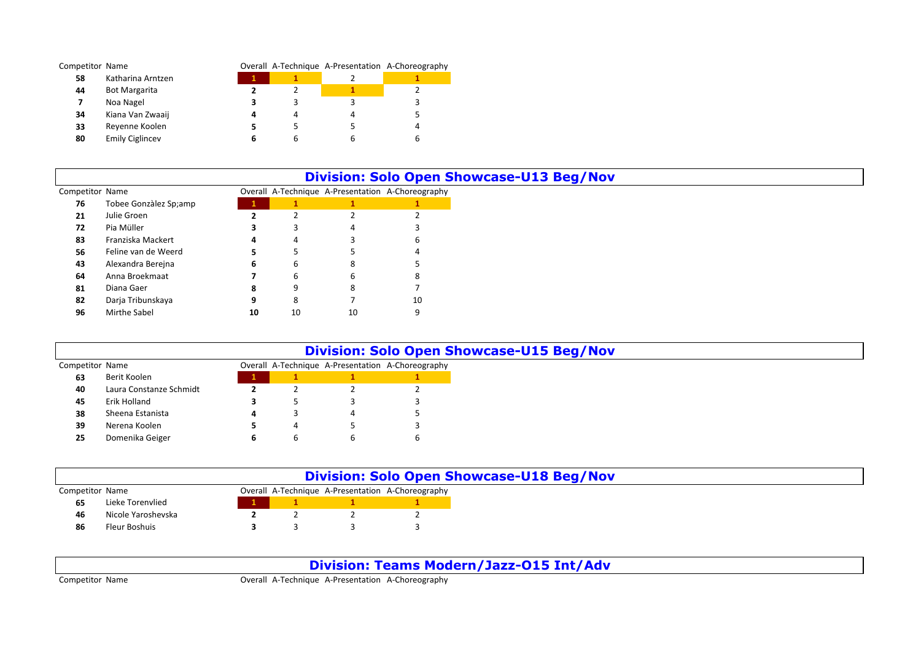| Competitor Name |                        |   |   | Overall A-Technique A-Presentation A-Choreography |
|-----------------|------------------------|---|---|---------------------------------------------------|
| 58              | Katharina Arntzen      |   |   |                                                   |
| 44              | <b>Bot Margarita</b>   |   |   |                                                   |
|                 | Noa Nagel              |   |   |                                                   |
| 34              | Kiana Van Zwaaij       |   |   |                                                   |
| 33              | Reyenne Koolen         |   |   |                                                   |
| 80              | <b>Emily Ciglincev</b> | ь | ь |                                                   |

|                 |                       |    |          |    | <b>Division: Solo Open Showcase-U13 Beg/Nov</b>   |
|-----------------|-----------------------|----|----------|----|---------------------------------------------------|
| Competitor Name |                       |    |          |    | Overall A-Technique A-Presentation A-Choreography |
| 76              | Tobee Gonzàlez Sp;amp |    |          |    |                                                   |
| 21              | Julie Groen           |    |          |    |                                                   |
| 72              | Pia Müller            |    |          | 4  |                                                   |
| 83              | Franziska Mackert     | 4  | 4        |    | h                                                 |
| 56              | Feline van de Weerd   | э  |          |    |                                                   |
| 43              | Alexandra Berejna     | 6  | b        | 8  |                                                   |
| 64              | Anna Broekmaat        |    | h        |    |                                                   |
| 81              | Diana Gaer            | 8  | $\Omega$ |    |                                                   |
| 82              | Darja Tribunskaya     | 9  | 8        |    | 10                                                |
| 96              | Mirthe Sabel          | 10 | 10       | 10 | 9                                                 |

|                 |                         |   |   | <b>Division: Solo Open Showcase-U15 Beg/Nov</b>   |
|-----------------|-------------------------|---|---|---------------------------------------------------|
| Competitor Name |                         |   |   | Overall A-Technique A-Presentation A-Choreography |
| 63              | Berit Koolen            |   |   |                                                   |
| 40              | Laura Constanze Schmidt |   |   |                                                   |
| 45              | Erik Holland            |   |   |                                                   |
| 38              | Sheena Estanista        | 4 |   |                                                   |
| 39              | Nerena Koolen           |   | 4 |                                                   |
| 25              | Domenika Geiger         | D |   |                                                   |

| <b>Division: Solo Open Showcase-U18 Beg/Nov</b> |                    |  |  |  |                                                   |
|-------------------------------------------------|--------------------|--|--|--|---------------------------------------------------|
| Competitor Name                                 |                    |  |  |  | Overall A-Technique A-Presentation A-Choreography |
| 65                                              | Lieke Torenvlied   |  |  |  |                                                   |
| 46                                              | Nicole Yaroshevska |  |  |  |                                                   |
| 86                                              | Fleur Boshuis      |  |  |  |                                                   |

**Division: Teams Modern/Jazz-O15 Int/Adv**

Competitor Name Overall A-Technique A-Presentation A-Choreography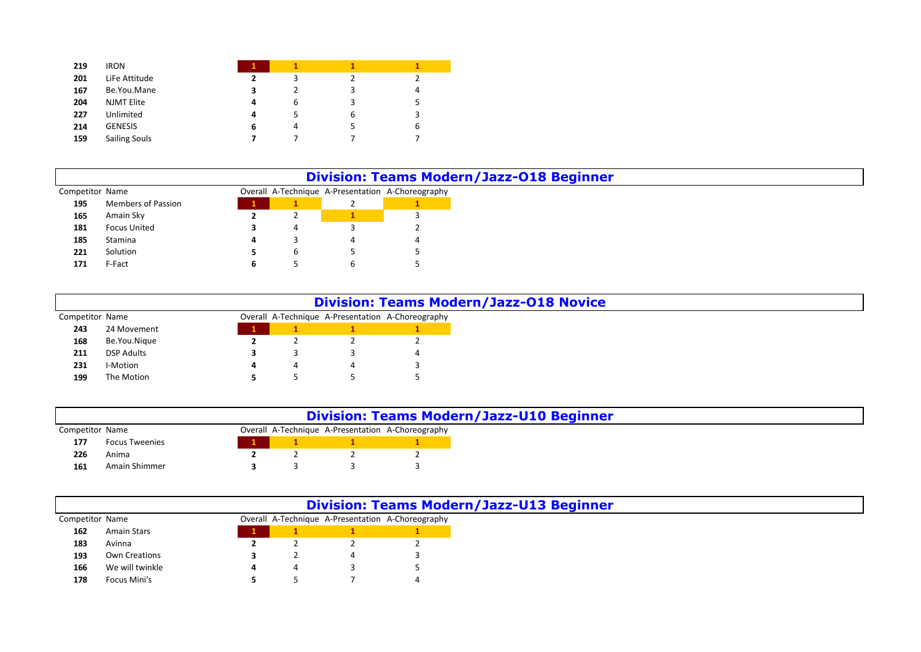| 219 | <b>IRON</b>          |   |   |   |   |
|-----|----------------------|---|---|---|---|
| 201 | LiFe Attitude        | 2 | 3 |   |   |
| 167 | Be.You.Mane          | з | 2 | 3 | 4 |
| 204 | <b>NJMT Elite</b>    | 4 | 6 | 3 | 5 |
| 227 | Unlimited            | 4 | 5 | 6 | 3 |
| 214 | <b>GENESIS</b>       | 6 | 4 |   | 6 |
| 159 | <b>Sailing Souls</b> |   |   |   |   |

|                 |                           |   | <b>Division: Teams Modern/Jazz-018 Beginner</b>   |
|-----------------|---------------------------|---|---------------------------------------------------|
| Competitor Name |                           |   | Overall A-Technique A-Presentation A-Choreography |
| 195             | <b>Members of Passion</b> |   |                                                   |
| 165             | Amain Sky                 | ▵ |                                                   |
| 181             | Focus United              |   |                                                   |
| 185             | Stamina                   |   |                                                   |
| 221             | Solution                  |   |                                                   |
| 171             | F-Fact                    |   |                                                   |

|                 |                   |   |  | <b>Division: Teams Modern/Jazz-018 Novice</b>     |
|-----------------|-------------------|---|--|---------------------------------------------------|
| Competitor Name |                   |   |  | Overall A-Technique A-Presentation A-Choreography |
| 243             | 24 Movement       |   |  |                                                   |
| 168             | Be.You.Nique      |   |  |                                                   |
| 211             | <b>DSP Adults</b> |   |  |                                                   |
| 231             | I-Motion          | 4 |  |                                                   |
| 199             | The Motion        |   |  |                                                   |

|                 |                       |  | <b>Division: Teams Modern/Jazz-U10 Beginner</b>   |
|-----------------|-----------------------|--|---------------------------------------------------|
| Competitor Name |                       |  | Overall A-Technique A-Presentation A-Choreography |
| 177             | <b>Focus Tweenies</b> |  |                                                   |
| 226             | Anima                 |  |                                                   |
| 161             | Amain Shimmer         |  |                                                   |

|                 |                 |   | <b>Division: Teams Modern/Jazz-U13 Beginner</b>   |
|-----------------|-----------------|---|---------------------------------------------------|
| Competitor Name |                 |   | Overall A-Technique A-Presentation A-Choreography |
| 162             | Amain Stars     |   |                                                   |
| 183             | Avinna          |   |                                                   |
| 193             | Own Creations   |   |                                                   |
| 166             | We will twinkle | 4 |                                                   |
| 178             | Focus Mini's    |   |                                                   |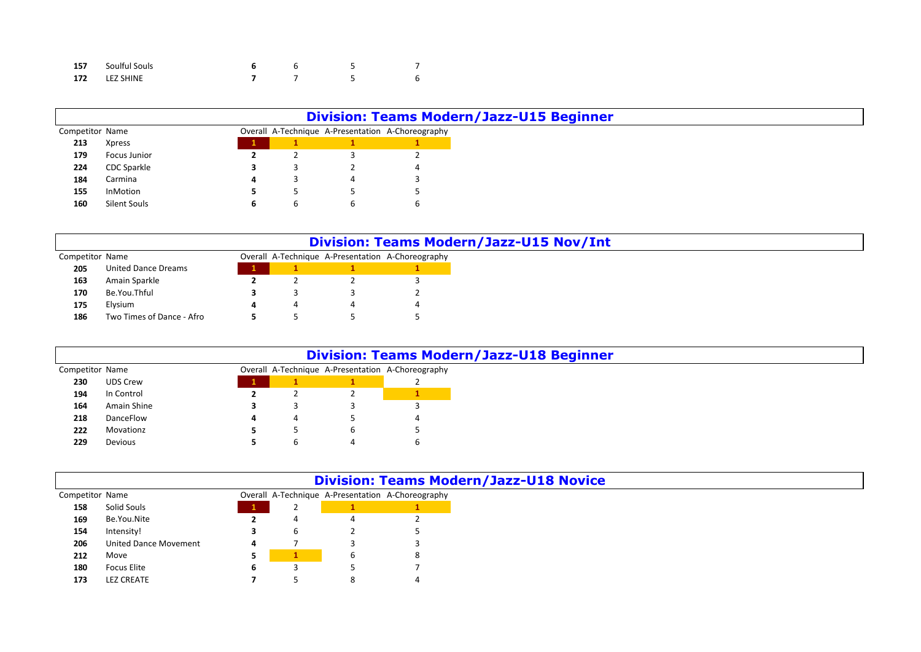| 157 | Soulful Souls |  |  |
|-----|---------------|--|--|
|     | 172 LEZ SHINE |  |  |

|                 |               |   |   |   | <b>Division: Teams Modern/Jazz-U15 Beginner</b>   |
|-----------------|---------------|---|---|---|---------------------------------------------------|
| Competitor Name |               |   |   |   | Overall A-Technique A-Presentation A-Choreography |
| 213             | <b>Xpress</b> |   |   |   |                                                   |
| 179             | Focus Junior  |   |   |   |                                                   |
| 224             | CDC Sparkle   |   |   |   | 4                                                 |
| 184             | Carmina       |   |   | 4 |                                                   |
| 155             | InMotion      |   |   |   |                                                   |
| 160             | Silent Souls  | ь | O | b | b                                                 |

|                 |                            |  |                                                   | <b>Division: Teams Modern/Jazz-U15 Nov/Int</b> |
|-----------------|----------------------------|--|---------------------------------------------------|------------------------------------------------|
| Competitor Name |                            |  | Overall A-Technique A-Presentation A-Choreography |                                                |
| 205             | <b>United Dance Dreams</b> |  |                                                   |                                                |
| 163             | Amain Sparkle              |  |                                                   |                                                |
| 170             | Be.You.Thful               |  |                                                   |                                                |
| 175             | Elysium                    |  |                                                   |                                                |
| 186             | Two Times of Dance - Afro  |  |                                                   |                                                |

|                 |             |   |   | <b>Division: Teams Modern/Jazz-U18 Beginner</b>   |
|-----------------|-------------|---|---|---------------------------------------------------|
| Competitor Name |             |   |   | Overall A-Technique A-Presentation A-Choreography |
| 230             | UDS Crew    |   |   |                                                   |
| 194             | In Control  |   |   |                                                   |
| 164             | Amain Shine |   |   |                                                   |
| 218             | DanceFlow   | 4 |   |                                                   |
| 222             | Movationz   |   | b |                                                   |
| 229             | Devious     |   |   |                                                   |

|                 |                              |   |          |   | <b>Division: Teams Modern/Jazz-U18 Novice</b>     |
|-----------------|------------------------------|---|----------|---|---------------------------------------------------|
| Competitor Name |                              |   |          |   | Overall A-Technique A-Presentation A-Choreography |
| 158             | Solid Souls                  |   | <u>_</u> |   |                                                   |
| 169             | Be.You.Nite                  |   |          |   |                                                   |
| 154             | Intensity!                   |   | b        |   |                                                   |
| 206             | <b>United Dance Movement</b> | 4 |          |   |                                                   |
| 212             | Move                         |   |          | 6 |                                                   |
| 180             | Focus Elite                  | ь |          |   |                                                   |
| 173             | <b>LEZ CREATE</b>            |   |          | 8 |                                                   |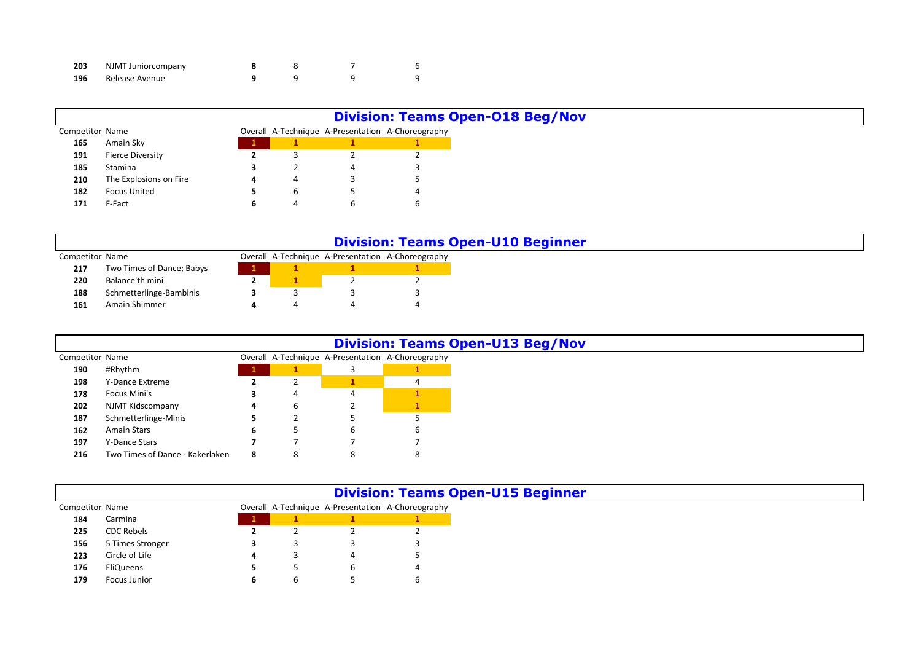| 203 | NJMT Juniorcompany |  |  |
|-----|--------------------|--|--|
| 196 | Release Avenue     |  |  |

Focus Junior **6** 6 5 6

|                 |                        |   |            |   | <b>Division: Teams Open-O18 Beg/Nov</b>           |
|-----------------|------------------------|---|------------|---|---------------------------------------------------|
| Competitor Name |                        |   |            |   | Overall A-Technique A-Presentation A-Choreography |
| 165             | Amain Sky              |   |            |   |                                                   |
| 191             | Fierce Diversity       |   |            |   |                                                   |
| 185             | Stamina                |   | L          |   |                                                   |
| 210             | The Explosions on Fire | 4 | ↵          |   |                                                   |
| 182             | <b>Focus United</b>    |   | ь          |   |                                                   |
| 171             | F-Fact                 | ь | $\epsilon$ | b |                                                   |

|                 |                           |  | <b>Division: Teams Open-U10 Beginner</b>          |
|-----------------|---------------------------|--|---------------------------------------------------|
| Competitor Name |                           |  | Overall A-Technique A-Presentation A-Choreography |
| 217             | Two Times of Dance; Babys |  |                                                   |
| 220             | Balance'th mini           |  |                                                   |
| 188             | Schmetterlinge-Bambinis   |  |                                                   |
| 161             | Amain Shimmer             |  |                                                   |

|                 |                                 |             |   |   | <b>Division: Teams Open-U13 Beg/Nov</b>           |
|-----------------|---------------------------------|-------------|---|---|---------------------------------------------------|
| Competitor Name |                                 |             |   |   | Overall A-Technique A-Presentation A-Choreography |
| 190             | #Rhythm                         | $\mathbf 1$ |   |   |                                                   |
| 198             | Y-Dance Extreme                 |             |   |   |                                                   |
| 178             | Focus Mini's                    |             | 4 | 4 |                                                   |
| 202             | NJMT Kidscompany                | 4           | b |   |                                                   |
| 187             | Schmetterlinge-Minis            |             |   |   |                                                   |
| 162             | Amain Stars                     | ь           | כ | ь | O                                                 |
| 197             | Y-Dance Stars                   |             |   |   |                                                   |
| 216             | Two Times of Dance - Kakerlaken | 8           | 8 | 8 |                                                   |

|                 |                   |  |   | <b>Division: Teams Open-U15 Beginner</b>          |
|-----------------|-------------------|--|---|---------------------------------------------------|
| Competitor Name |                   |  |   | Overall A-Technique A-Presentation A-Choreography |
| 184             | Carmina           |  |   |                                                   |
| 225             | <b>CDC Rebels</b> |  |   |                                                   |
| 156             | 5 Times Stronger  |  |   |                                                   |
| 223             | Circle of Life    |  | 4 |                                                   |
| 176             | EliQueens         |  |   |                                                   |